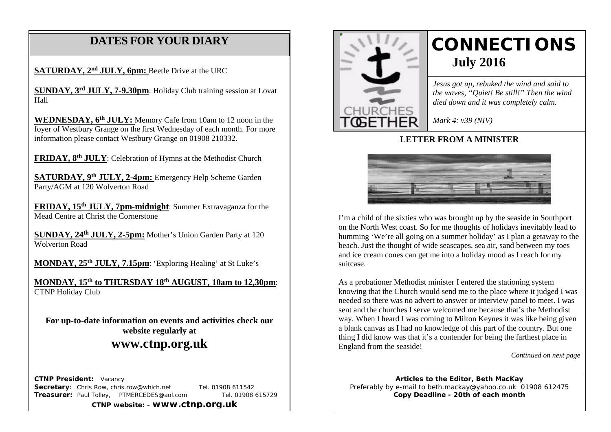# **DATES FOR YOUR DIARY**

**SATURDAY, 2<sup>nd</sup> JULY, 6pm:** Beetle Drive at the URC

 **SUNDAY, 3rd JULY, 7-9.30pm**: Holiday Club training session at Lovat Hall

**WEDNESDAY, 6th JULY:** Memory Cafe from 10am to 12 noon in the foyer of Westbury Grange on the first Wednesday of each month. For more information please contact Westbury Grange on 01908 210332.

**FRIDAY, 8th JULY**: Celebration of Hymns at the Methodist Church

**SATURDAY, 9th JULY, 2-4pm:** Emergency Help Scheme Garden Party/AGM at 120 Wolverton Road

**FRIDAY, 15th JULY, 7pm-midnight**: Summer Extravaganza for the Mead Centre at Christ the Cornerstone

**SUNDAY, 24th JULY, 2-5pm:** Mother's Union Garden Party at 120 Wolverton Road

**MONDAY, 25th JULY, 7.15pm**: 'Exploring Healing' at St Luke's

**MONDAY, 15th to THURSDAY 18th AUGUST, 10am to 12,30pm**: CTNP Holiday Club

**For up-to-date information on events and activities check our website regularly at**

# **www.ctnp.org.uk**

 **CTNP President:** Vacancy

**Secretary:** Chris Row, chris.row@which.net Tel. 01908 611542 **Treasurer:** Paul Tolley, PTMERCEDES@aol.com Tel. 01908 615729

**CTNP website: - www.ctnp.org.uk**



# **CONNECTIONS July 2016**

*Jesus got up, rebuked the wind and said to the waves, "Quiet! Be still!" Then the wind died down and it was completely calm.*

*Mark 4: v39 (NIV)*

#### **LETTER FROM A MINISTER**



I'm a child of the sixties who was brought up by the seaside in Southport on the North West coast. So for me thoughts of holidays inevitably lead to humming 'We're all going on a summer holiday' as I plan a getaway to the beach. Just the thought of wide seascapes, sea air, sand between my toes and ice cream cones can get me into a holiday mood as I reach for my suitcase.

As a probationer Methodist minister I entered the stationing system knowing that the Church would send me to the place where it judged I was needed so there was no advert to answer or interview panel to meet. I was sent and the churches I serve welcomed me because that's the Methodist way. When I heard I was coming to Milton Keynes it was like being given a blank canvas as I had no knowledge of this part of the country. But one thing I did know was that it's a contender for being the farthest place in England from the seaside!

*Continued on next page*

**Articles to the Editor, Beth MacKay** Preferably by e-mail to beth.mackay@yahoo.co.uk 01908 612475 **Copy Deadline - 20th of each month**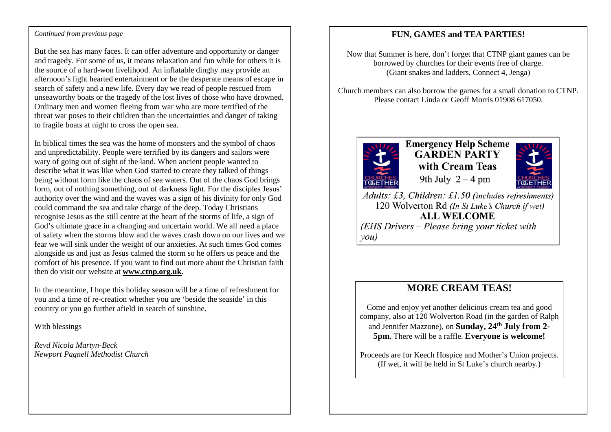#### *Continued from previous page*

But the sea has many faces. It can offer adventure and opportunity or danger and tragedy. For some of us, it means relaxation and fun while for others it is the source of a hard-won livelihood. An inflatable dinghy may provide an afternoon's light hearted entertainment or be the desperate means of escape in search of safety and a new life. Every day we read of people rescued from unseaworthy boats or the tragedy of the lost lives of those who have drowned. Ordinary men and women fleeing from war who are more terrified of the threat war poses to their children than the uncertainties and danger of taking to fragile boats at night to cross the open sea.

In biblical times the sea was the home of monsters and the symbol of chaos and unpredictability. People were terrified by its dangers and sailors were wary of going out of sight of the land. When ancient people wanted to describe what it was like when God started to create they talked of things being without form like the chaos of sea waters. Out of the chaos God brings form, out of nothing something, out of darkness light. For the disciples Jesus' authority over the wind and the waves was a sign of his divinity for only God could command the sea and take charge of the deep. Today Christians recognise Jesus as the still centre at the heart of the storms of life, a sign of God's ultimate grace in a changing and uncertain world. We all need a place of safety when the storms blow and the waves crash down on our lives and we fear we will sink under the weight of our anxieties. At such times God comes alongside us and just as Jesus calmed the storm so he offers us peace and the comfort of his presence. If you want to find out more about the Christian faith then do visit our website at **www.ctnp.org.uk**.

In the meantime, I hope this holiday season will be a time of refreshment for you and a time of re-creation whether you are 'beside the seaside' in this country or you go further afield in search of sunshine.

With blessings

*Revd Nicola Martyn-Beck Newport Pagnell Methodist Church*

#### **FUN, GAMES and TEA PARTIES!**

Now that Summer is here, don't forget that CTNP giant games can be borrowed by churches for their events free of charge. (Giant snakes and ladders, Connect 4, Jenga)

Church members can also borrow the games for a small donation to CTNP. Please contact Linda or Geoff Morris 01908 617050.



**Emergency Help Scheme GARDEN PARTY** with Cream Teas 9th July  $2 - 4$  pm



Adults: £3, Children: £1.50 (includes refreshments) 120 Wolverton Rd (In St Luke's Church if wet) **ALL WELCOME** (EHS Drivers – Please bring your ticket with  $\mathit{you})$ 

### **MORE CREAM TEAS!**

Come and enjoy yet another delicious cream tea and good company, also at 120 Wolverton Road (in the garden of Ralph and Jennifer Mazzone), on **Sunday, 24th July from 2- 5pm**. There will be a raffle. **Everyone is welcome!**

Proceeds are for Keech Hospice and Mother's Union projects. (If wet, it will be held in St Luke's church nearby.)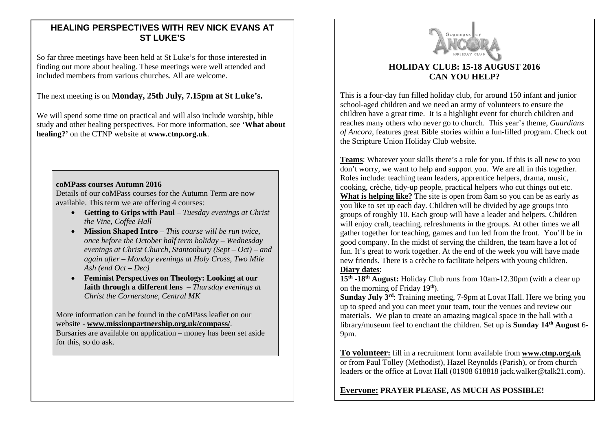#### **HEALING PERSPECTIVES WITH REV NICK EVANS AT ST LUKE'S**

So far three meetings have been held at St Luke's for those interested in finding out more about healing. These meetings were well attended and included members from various churches. All are welcome.

#### The next meeting is on **Monday, 25th July, 7.15pm at St Luke's.**

We will spend some time on practical and will also include worship, bible study and other healing perspectives. For more information, see '**What about healing?'** on the CTNP website at **www.ctnp.org.uk**.

#### **coMPass courses Autumn 2016**

Details of our coMPass courses for the Autumn Term are now available. This term we are offering 4 courses:

- **Getting to Grips with Paul** *Tuesday evenings at Christ the Vine, Coffee Hall*
- **Mission Shaped Intro** *This course will be run twice, once before the October half term holiday – Wednesday evenings at Christ Church, Stantonbury (Sept – Oct) – and again after – Monday evenings at Holy Cross, Two Mile Ash (end Oct – Dec)*
- **Feminist Perspectives on Theology: Looking at our faith through a different lens** – *Thursday evenings at Christ the Cornerstone, Central MK*

More information can be found in the coMPass leaflet on our website - **www.missionpartnership.org.uk/compass/**.

Bursaries are available on application – money has been set aside for this, so do ask.



#### **HOLIDAY CLUB: 15-18 AUGUST 2016 CAN YOU HELP?**

This is a four-day fun filled holiday club, for around 150 infant and junior school-aged children and we need an army of volunteers to ensure the children have a great time. It is a highlight event for church children and reaches many others who never go to church. This year's theme, *Guardians of Ancora,* features great Bible stories within a fun-filled program. Check out the Scripture Union Holiday Club website.

**Teams**: Whatever your skills there's a role for you. If this is all new to you don't worry, we want to help and support you. We are all in this together. Roles include: teaching team leaders, apprentice helpers, drama, music, cooking, crèche, tidy-up people, practical helpers who cut things out etc. **What is helping like?** The site is open from 8am so you can be as early as you like to set up each day. Children will be divided by age groups into groups of roughly 10. Each group will have a leader and helpers. Children will enjoy craft, teaching, refreshments in the groups. At other times we all gather together for teaching, games and fun led from the front. You'll be in good company. In the midst of serving the children, the team have a lot of fun. It's great to work together. At the end of the week you will have made new friends. There is a crèche to facilitate helpers with young children. **Diary dates**:

**15th -18th August:** Holiday Club runs from 10am-12.30pm (with a clear up on the morning of Friday  $19<sup>th</sup>$ ).

**Sunday July 3<sup>rd</sup>:** Training meeting, 7-9pm at Lovat Hall. Here we bring you up to speed and you can meet your team, tour the venues and review our materials. We plan to create an amazing magical space in the hall with a library/museum feel to enchant the children. Set up is **Sunday 14<sup>th</sup> August** 6-9pm.

**To volunteer:** fill in a recruitment form available from **[www.ctnp.org.uk](http://www.ctnp.org.uk/)** or from Paul Tolley (Methodist), Hazel Reynolds (Parish), or from church leaders or the office at Lovat Hall (01908 618818 jack.walker@talk21.com).

**Everyone: PRAYER PLEASE, AS MUCH AS POSSIBLE!**

 $\overline{a}$